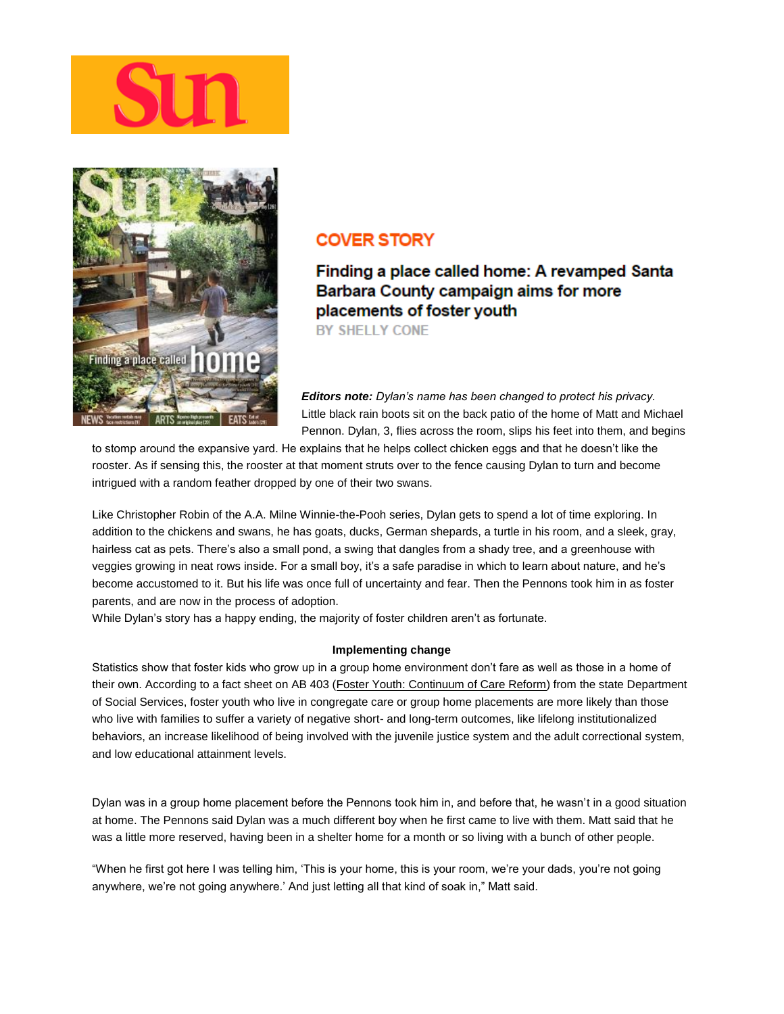



## **COVER STORY**

Finding a place called home: A revamped Santa Barbara County campaign aims for more placements of foster youth **BY SHELLY CONE** 

*Editors note: Dylan's name has been changed to protect his privacy.* Little black rain boots sit on the back patio of the home of Matt and Michael Pennon. Dylan, 3, flies across the room, slips his feet into them, and begins

to stomp around the expansive yard. He explains that he helps collect chicken eggs and that he doesn't like the rooster. As if sensing this, the rooster at that moment struts over to the fence causing Dylan to turn and become intrigued with a random feather dropped by one of their two swans.

Like Christopher Robin of the A.A. Milne Winnie-the-Pooh series, Dylan gets to spend a lot of time exploring. In addition to the chickens and swans, he has goats, ducks, German shepards, a turtle in his room, and a sleek, gray, hairless cat as pets. There's also a small pond, a swing that dangles from a shady tree, and a greenhouse with veggies growing in neat rows inside. For a small boy, it's a safe paradise in which to learn about nature, and he's become accustomed to it. But his life was once full of uncertainty and fear. Then the Pennons took him in as foster parents, and are now in the process of adoption.

While Dylan's story has a happy ending, the majority of foster children aren't as fortunate.

## **Implementing change**

Statistics show that foster kids who grow up in a group home environment don't fare as well as those in a home of their own. According to a fact sheet on AB 403 [\(Foster Youth: Continuum of Care Reform\)](http://www.dss.cahwnet.gov/cdssweb/entres/pdf/AB403_FactSheet.pdf) from the state Department of Social Services, foster youth who live in congregate care or group home placements are more likely than those who live with families to suffer a variety of negative short- and long-term outcomes, like lifelong institutionalized behaviors, an increase likelihood of being involved with the juvenile justice system and the adult correctional system, and low educational attainment levels.

Dylan was in a group home placement before the Pennons took him in, and before that, he wasn't in a good situation at home. The Pennons said Dylan was a much different boy when he first came to live with them. Matt said that he was a little more reserved, having been in a shelter home for a month or so living with a bunch of other people.

"When he first got here I was telling him, 'This is your home, this is your room, we're your dads, you're not going anywhere, we're not going anywhere.' And just letting all that kind of soak in," Matt said.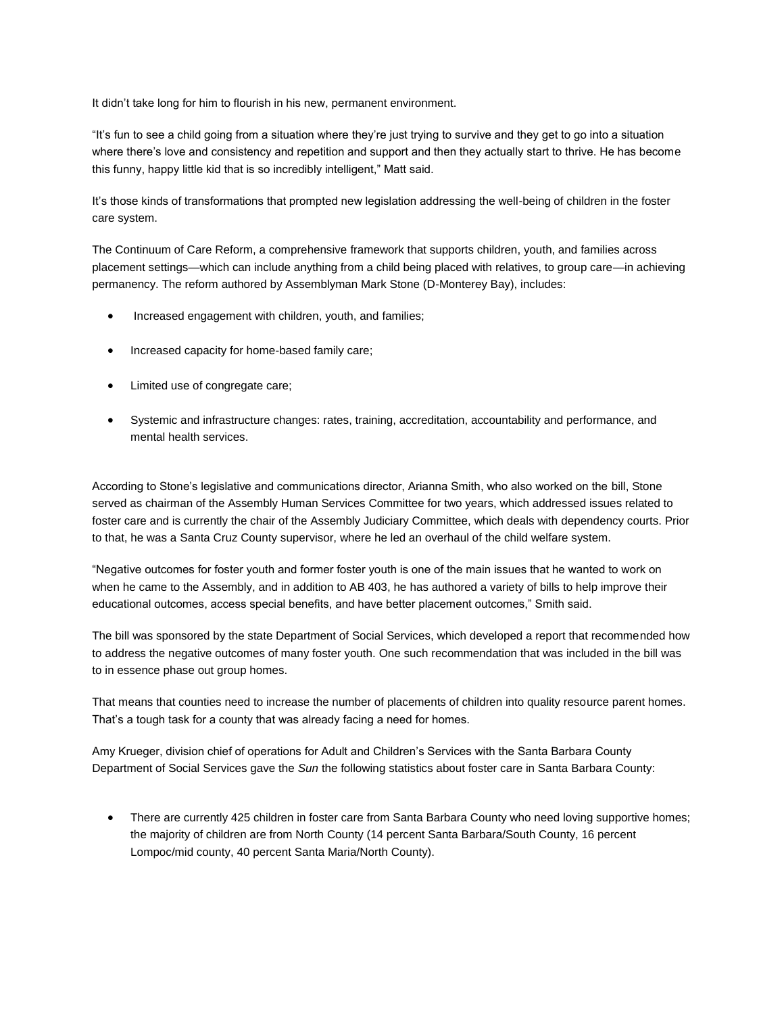It didn't take long for him to flourish in his new, permanent environment.

"It's fun to see a child going from a situation where they're just trying to survive and they get to go into a situation where there's love and consistency and repetition and support and then they actually start to thrive. He has become this funny, happy little kid that is so incredibly intelligent," Matt said.

It's those kinds of transformations that prompted new legislation addressing the well-being of children in the foster care system.

The Continuum of Care Reform, a comprehensive framework that supports children, youth, and families across placement settings—which can include anything from a child being placed with relatives, to group care—in achieving permanency. The reform authored by Assemblyman Mark Stone (D-Monterey Bay), includes:

- Increased engagement with children, youth, and families;
- Increased capacity for home-based family care;
- Limited use of congregate care;
- Systemic and infrastructure changes: rates, training, accreditation, accountability and performance, and mental health services.

According to Stone's legislative and communications director, Arianna Smith, who also worked on the bill, Stone served as chairman of the Assembly Human Services Committee for two years, which addressed issues related to foster care and is currently the chair of the Assembly Judiciary Committee, which deals with dependency courts. Prior to that, he was a Santa Cruz County supervisor, where he led an overhaul of the child welfare system.

"Negative outcomes for foster youth and former foster youth is one of the main issues that he wanted to work on when he came to the Assembly, and in addition to AB 403, he has authored a variety of bills to help improve their educational outcomes, access special benefits, and have better placement outcomes," Smith said.

The bill was sponsored by the state Department of Social Services, which developed a report that recommended how to address the negative outcomes of many foster youth. One such recommendation that was included in the bill was to in essence phase out group homes.

That means that counties need to increase the number of placements of children into quality resource parent homes. That's a tough task for a county that was already facing a need for homes.

Amy Krueger, division chief of operations for Adult and Children's Services with the Santa Barbara County Department of Social Services gave the *Sun* the following statistics about foster care in Santa Barbara County:

• There are currently 425 children in foster care from Santa Barbara County who need loving supportive homes; the majority of children are from North County (14 percent Santa Barbara/South County, 16 percent Lompoc/mid county, 40 percent Santa Maria/North County).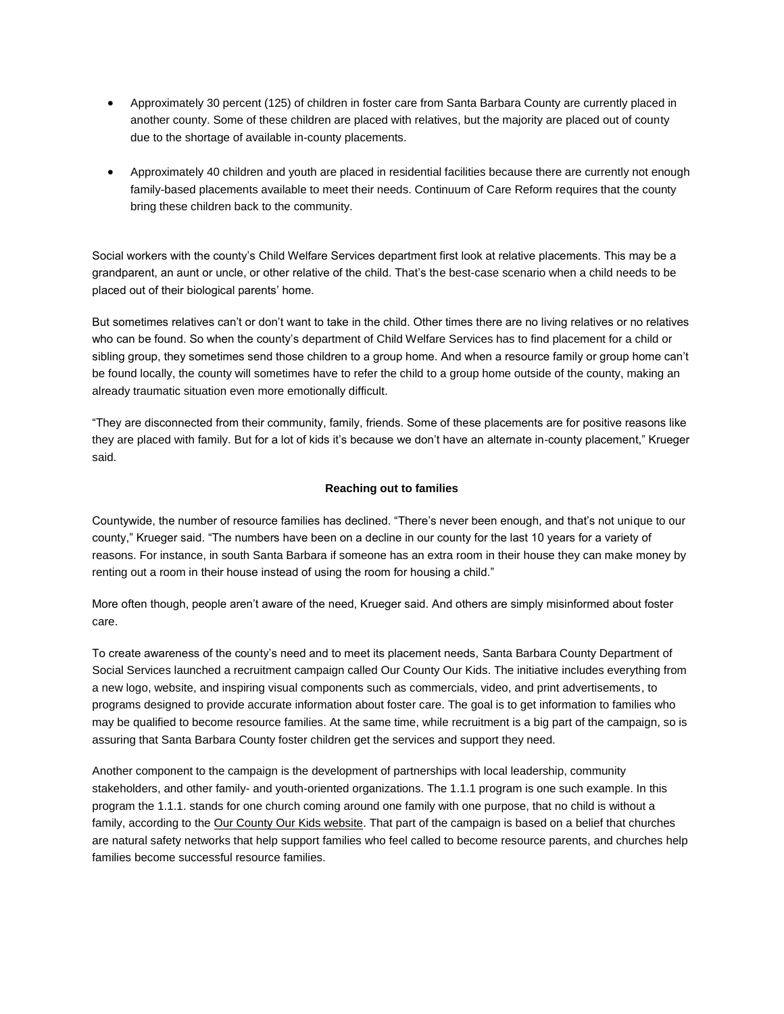- Approximately 30 percent (125) of children in foster care from Santa Barbara County are currently placed in another county. Some of these children are placed with relatives, but the majority are placed out of county due to the shortage of available in-county placements.
- Approximately 40 children and youth are placed in residential facilities because there are currently not enough family-based placements available to meet their needs. Continuum of Care Reform requires that the county bring these children back to the community.

Social workers with the county's Child Welfare Services department first look at relative placements. This may be a grandparent, an aunt or uncle, or other relative of the child. That's the best-case scenario when a child needs to be placed out of their biological parents' home.

But sometimes relatives can't or don't want to take in the child. Other times there are no living relatives or no relatives who can be found. So when the county's department of Child Welfare Services has to find placement for a child or sibling group, they sometimes send those children to a group home. And when a resource family or group home can't be found locally, the county will sometimes have to refer the child to a group home outside of the county, making an already traumatic situation even more emotionally difficult.

"They are disconnected from their community, family, friends. Some of these placements are for positive reasons like they are placed with family. But for a lot of kids it's because we don't have an alternate in-county placement," Krueger said.

## **Reaching out to families**

Countywide, the number of resource families has declined. "There's never been enough, and that's not unique to our county," Krueger said. "The numbers have been on a decline in our county for the last 10 years for a variety of reasons. For instance, in south Santa Barbara if someone has an extra room in their house they can make money by renting out a room in their house instead of using the room for housing a child."

More often though, people aren't aware of the need, Krueger said. And others are simply misinformed about foster care.

To create awareness of the county's need and to meet its placement needs, Santa Barbara County Department of Social Services launched a recruitment campaign called Our County Our Kids. The initiative includes everything from a new logo, website, and inspiring visual components such as commercials, video, and print advertisements, to programs designed to provide accurate information about foster care. The goal is to get information to families who may be qualified to become resource families. At the same time, while recruitment is a big part of the campaign, so is assuring that Santa Barbara County foster children get the services and support they need.

Another component to the campaign is the development of partnerships with local leadership, community stakeholders, and other family- and youth-oriented organizations. The 1.1.1 program is one such example. In this program the 1.1.1. stands for one church coming around one family with one purpose, that no child is without a family, according to the [Our County Our Kids website.](http://ourcountyourkids.org/) That part of the campaign is based on a belief that churches are natural safety networks that help support families who feel called to become resource parents, and churches help families become successful resource families.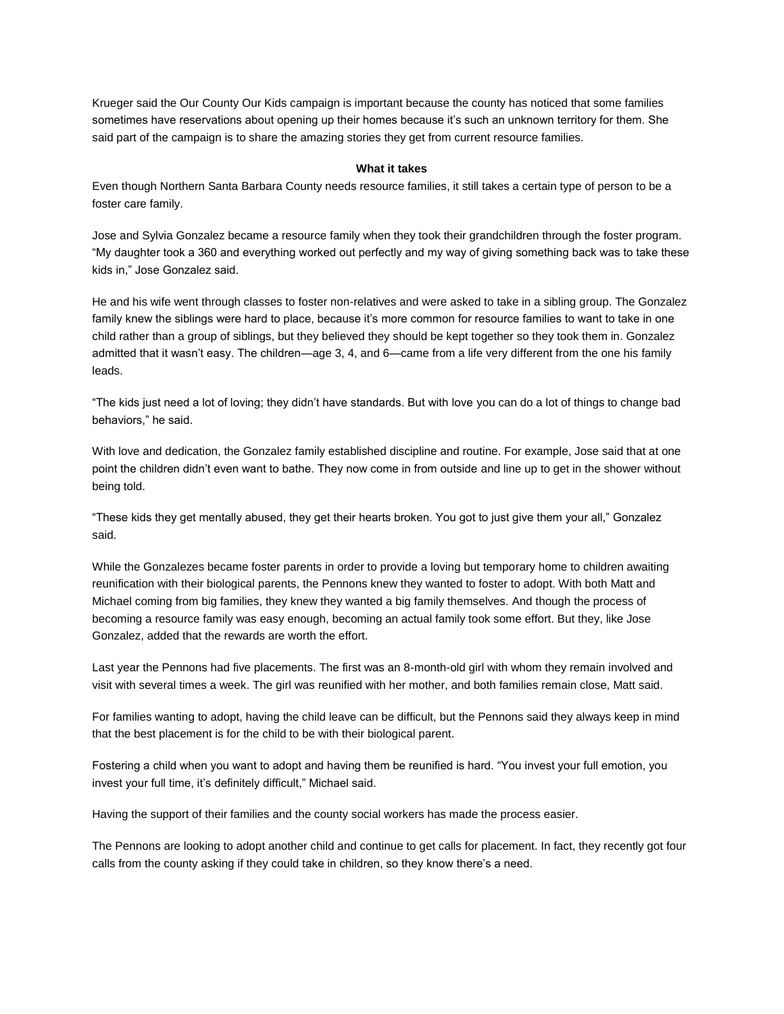Krueger said the Our County Our Kids campaign is important because the county has noticed that some families sometimes have reservations about opening up their homes because it's such an unknown territory for them. She said part of the campaign is to share the amazing stories they get from current resource families.

## **What it takes**

Even though Northern Santa Barbara County needs resource families, it still takes a certain type of person to be a foster care family.

Jose and Sylvia Gonzalez became a resource family when they took their grandchildren through the foster program. "My daughter took a 360 and everything worked out perfectly and my way of giving something back was to take these kids in," Jose Gonzalez said.

He and his wife went through classes to foster non-relatives and were asked to take in a sibling group. The Gonzalez family knew the siblings were hard to place, because it's more common for resource families to want to take in one child rather than a group of siblings, but they believed they should be kept together so they took them in. Gonzalez admitted that it wasn't easy. The children—age 3, 4, and 6—came from a life very different from the one his family leads.

"The kids just need a lot of loving; they didn't have standards. But with love you can do a lot of things to change bad behaviors," he said.

With love and dedication, the Gonzalez family established discipline and routine. For example, Jose said that at one point the children didn't even want to bathe. They now come in from outside and line up to get in the shower without being told.

"These kids they get mentally abused, they get their hearts broken. You got to just give them your all," Gonzalez said.

While the Gonzalezes became foster parents in order to provide a loving but temporary home to children awaiting reunification with their biological parents, the Pennons knew they wanted to foster to adopt. With both Matt and Michael coming from big families, they knew they wanted a big family themselves. And though the process of becoming a resource family was easy enough, becoming an actual family took some effort. But they, like Jose Gonzalez, added that the rewards are worth the effort.

Last year the Pennons had five placements. The first was an 8-month-old girl with whom they remain involved and visit with several times a week. The girl was reunified with her mother, and both families remain close, Matt said.

For families wanting to adopt, having the child leave can be difficult, but the Pennons said they always keep in mind that the best placement is for the child to be with their biological parent.

Fostering a child when you want to adopt and having them be reunified is hard. "You invest your full emotion, you invest your full time, it's definitely difficult," Michael said.

Having the support of their families and the county social workers has made the process easier.

The Pennons are looking to adopt another child and continue to get calls for placement. In fact, they recently got four calls from the county asking if they could take in children, so they know there's a need.